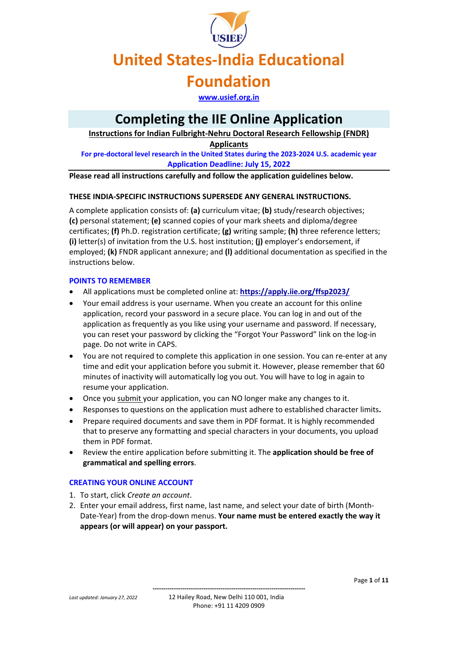### **United States-India Educational**

### **Foundation**

**[www.usief.org.in](http://www.usief.org.in/)**

### **Completing the IIE Online Application**

**Instructions for Indian Fulbright-Nehru Doctoral Research Fellowship (FNDR)** 

**Applicants**

**For pre-doctoral level research in the United States during the 2023-2024 U.S. academic year Application Deadline: July 15, 2022**

**Please read all instructions carefully and follow the application guidelines below.** 

#### **THESE INDIA-SPECIFIC INSTRUCTIONS SUPERSEDE ANY GENERAL INSTRUCTIONS.**

A complete application consists of: **(a)** curriculum vitae; **(b)** study/research objectives; **(c)** personal statement; **(e)** scanned copies of your mark sheets and diploma/degree certificates; **(f)** Ph.D. registration certificate; **(g)** writing sample; **(h)** three reference letters; **(i)** letter(s) of invitation from the U.S. host institution; **(j)** employer's endorsement, if employed; **(k)** FNDR applicant annexure; and **(l)** additional documentation as specified in the instructions below.

#### **POINTS TO REMEMBER**

- All applications must be completed online at: **<https://apply.iie.org/ffsp2023/>**
- Your email address is your username. When you create an account for this online application, record your password in a secure place. You can log in and out of the application as frequently as you like using your username and password. If necessary, you can reset your password by clicking the "Forgot Your Password" link on the log-in page. Do not write in CAPS.
- You are not required to complete this application in one session. You can re-enter at any time and edit your application before you submit it. However, please remember that 60 minutes of inactivity will automatically log you out. You will have to log in again to resume your application.
- Once you submit your application, you can NO longer make any changes to it.
- Responses to questions on the application must adhere to established character limits**.**
- Prepare required documents and save them in PDF format. It is highly recommended that to preserve any formatting and special characters in your documents, you upload them in PDF format.
- Review the entire application before submitting it. The **application should be free of grammatical and spelling errors**.

#### **CREATING YOUR ONLINE ACCOUNT**

- 1. To start, click *Create an account*.
- 2. Enter your email address, first name, last name, and select your date of birth (Month-Date-Year) from the drop-down menus. **Your name must be entered exactly the way it appears (or will appear) on your passport.**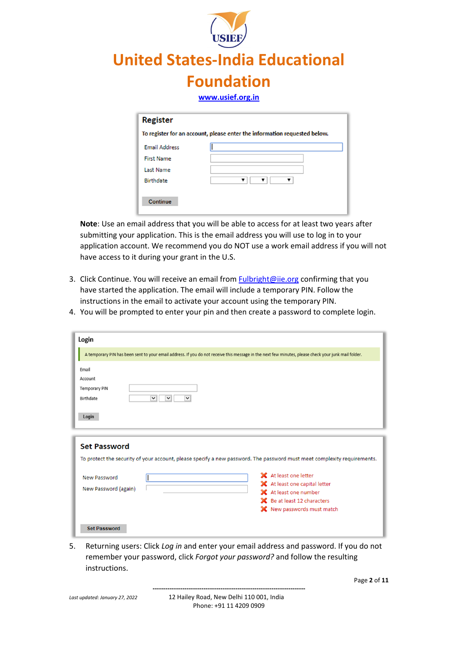

| <b>Register</b>      |                                                                           |
|----------------------|---------------------------------------------------------------------------|
|                      | To register for an account, please enter the information requested below. |
| <b>Email Address</b> |                                                                           |
| <b>First Name</b>    |                                                                           |
| <b>Last Name</b>     |                                                                           |
| <b>Birthdate</b>     |                                                                           |

**Note**: Use an email address that you will be able to access for at least two years after submitting your application. This is the email address you will use to log in to your application account. We recommend you do NOT use a work email address if you will not have access to it during your grant in the U.S.

- 3. Click Continue. You will receive an email from [Fulbright@iie.org](mailto:Fulbright@iie.org) confirming that you have started the application. The email will include a temporary PIN. Follow the instructions in the email to activate your account using the temporary PIN.
- 4. You will be prompted to enter your pin and then create a password to complete login.

| Login                                                                                                                                                |                                                                                                                                                                                                                                                                          |  |
|------------------------------------------------------------------------------------------------------------------------------------------------------|--------------------------------------------------------------------------------------------------------------------------------------------------------------------------------------------------------------------------------------------------------------------------|--|
| A temporary PIN has been sent to your email address. If you do not receive this message in the next few minutes, please check your junk mail folder. |                                                                                                                                                                                                                                                                          |  |
| Email<br>Account<br><b>Temporary PIN</b><br>$\vee$<br>$\checkmark$<br>Birthdate<br>$\checkmark$<br>Login                                             |                                                                                                                                                                                                                                                                          |  |
| <b>Set Password</b><br>New Password<br>New Password (again)                                                                                          | To protect the security of your account, please specify a new password. The password must meet complexity requirements.<br>X At least one letter<br>X At least one capital letter<br>X At least one number<br>SC Be at least 12 characters<br>X New passwords must match |  |
| <b>Set Password</b>                                                                                                                                  |                                                                                                                                                                                                                                                                          |  |

5. Returning users: Click *Log in* and enter your email address and password. If you do not remember your password, click *Forgot your password?* and follow the resulting instructions.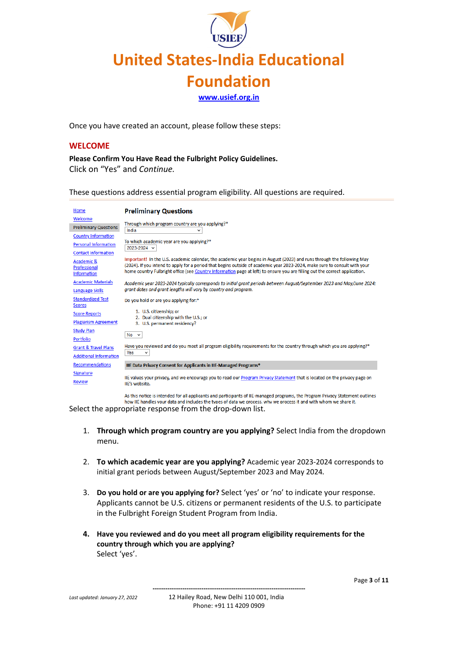**[www.usief.org.in](http://www.usief.org.in/)**

Once you have created an account, please follow these steps:

#### **WELCOME**

**Please Confirm You Have Read the Fulbright Policy Guidelines.** Click on "Yes" and *Continue.*

These questions address essential program eligibility. All questions are required.

| Home                                             | <b>Preliminary Questions</b>                                                                                                                                                                                                                                                                                                                                                        |
|--------------------------------------------------|-------------------------------------------------------------------------------------------------------------------------------------------------------------------------------------------------------------------------------------------------------------------------------------------------------------------------------------------------------------------------------------|
| Welcome                                          |                                                                                                                                                                                                                                                                                                                                                                                     |
| <b>Preliminary Questions</b>                     | Through which program country are you applying?*<br>India<br>$\check{ }$                                                                                                                                                                                                                                                                                                            |
| <b>Country Information</b>                       |                                                                                                                                                                                                                                                                                                                                                                                     |
| <b>Personal Information</b>                      | To which academic year are you applying?*<br>2023-2024 $\vee$                                                                                                                                                                                                                                                                                                                       |
| <b>Contact Information</b>                       |                                                                                                                                                                                                                                                                                                                                                                                     |
| Academic &<br>Professional<br><b>Information</b> | Important! In the U.S. academic calendar, the academic year begins in August (2023) and runs through the following May<br>(2024). If you intend to apply for a period that begins outside of academic year 2023-2024, make sure to consult with your<br>home country Fulbright office (see Country Information page at left) to ensure you are filling out the correct application. |
| <b>Academic Materials</b><br>Language Skills     | Academic year 2023-2024 typically corresponds to initial grant periods between August/September 2023 and May/June 2024;<br>grant dates and grant lengths will vary by country and program.                                                                                                                                                                                          |
| <b>Standardized Test</b><br>Scores               | Do you hold or are you applying for:*                                                                                                                                                                                                                                                                                                                                               |
| <b>Score Reports</b>                             | 1. U.S. citizenship; or<br>2. Dual citizenship with the U.S.; or                                                                                                                                                                                                                                                                                                                    |
| <b>Plagiarism Agreement</b>                      | 3. U.S. permanent residency?                                                                                                                                                                                                                                                                                                                                                        |
| <b>Study Plan</b>                                | $No \sim$                                                                                                                                                                                                                                                                                                                                                                           |
| <b>Portfolio</b>                                 |                                                                                                                                                                                                                                                                                                                                                                                     |
| <b>Grant &amp; Travel Plans</b>                  | Have you reviewed and do you meet all program eligibility requirements for the country through which you are applying?*                                                                                                                                                                                                                                                             |
| <b>Additional Information</b>                    | <b>Yes</b><br>v                                                                                                                                                                                                                                                                                                                                                                     |
| Recommendations                                  | IIE Data Privacy Consent for Applicants in IIE-Managed Programs*                                                                                                                                                                                                                                                                                                                    |
| Signature                                        |                                                                                                                                                                                                                                                                                                                                                                                     |
| <b>Review</b>                                    | IIE values your privacy, and we encourage you to read our Program Privacy Statement that is located on the privacy page on<br>IIE's website.                                                                                                                                                                                                                                        |
|                                                  | As this notice is intended for all applicants and participants of UE managed programs, the Dregsam Drivery Statement outlines                                                                                                                                                                                                                                                       |

nts and participants of IIE-managed programs, the Program Privacy Statem how IIE handles vour data and includes the types of data we process, why we process it and with whom we share it.

Select the appropriate response from the drop-down list.

- 1. **Through which program country are you applying?** Select India from the dropdown menu.
- 2. **To which academic year are you applying?** Academic year 2023-2024 corresponds to initial grant periods between August/September 2023 and May 2024*.*
- 3. **Do you hold or are you applying for?** Select 'yes' or 'no' to indicate your response. Applicants cannot be U.S. citizens or permanent residents of the U.S. to participate in the Fulbright Foreign Student Program from India.
- **4. Have you reviewed and do you meet all program eligibility requirements for the country through which you are applying?** Select 'yes'.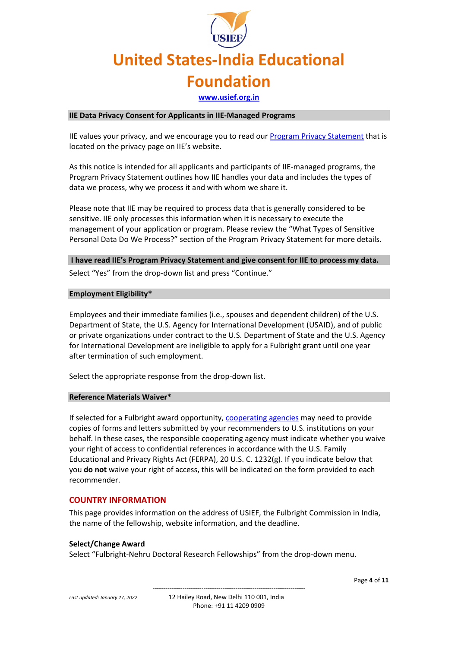**[www.usief.org.in](http://www.usief.org.in/)**

#### **IIE Data Privacy Consent for Applicants in IIE-Managed Programs**

IIE values your privacy, and we encourage you to read our [Program Privacy Statement](http://www.iie.org/Learn/Privacy/IIE-Program-Privacy-Statement) that is located on the privacy page on IIE's website.

As this notice is intended for all applicants and participants of IIE-managed programs, the Program Privacy Statement outlines how IIE handles your data and includes the types of data we process, why we process it and with whom we share it.

Please note that IIE may be required to process data that is generally considered to be sensitive. IIE only processes this information when it is necessary to execute the management of your application or program. Please review the "What Types of Sensitive Personal Data Do We Process?" section of the Program Privacy Statement for more details.

#### **I have read IIE's Program Privacy Statement and give consent for IIE to process my data.**

Select "Yes" from the drop-down list and press "Continue."

#### **Employment Eligibility\***

Employees and their immediate families (i.e., spouses and dependent children) of the U.S. Department of State, the U․S․ Agency for International Development (USAID), and of public or private organizations under contract to the U.S. Department of State and the U․S․ Agency for International Development are ineligible to apply for a Fulbright grant until one year after termination of such employment.

Select the appropriate response from the drop-down list.

#### **Reference Materials Waiver\***

If selected for a Fulbright award opportunity, [cooperating agencies](https://eca.state.gov/fulbright/about-fulbright/funding-and-administration/administrative-partners) may need to provide copies of forms and letters submitted by your recommenders to U.S. institutions on your behalf. In these cases, the responsible cooperating agency must indicate whether you waive your right of access to confidential references in accordance with the U.S. Family Educational and Privacy Rights Act (FERPA), 20 U.S. C. 1232(g). If you indicate below that you **do not** waive your right of access, this will be indicated on the form provided to each recommender.

#### **COUNTRY INFORMATION**

This page provides information on the address of USIEF, the Fulbright Commission in India, the name of the fellowship, website information, and the deadline.

#### **Select/Change Award**

Select "Fulbright-Nehru Doctoral Research Fellowships" from the drop-down menu.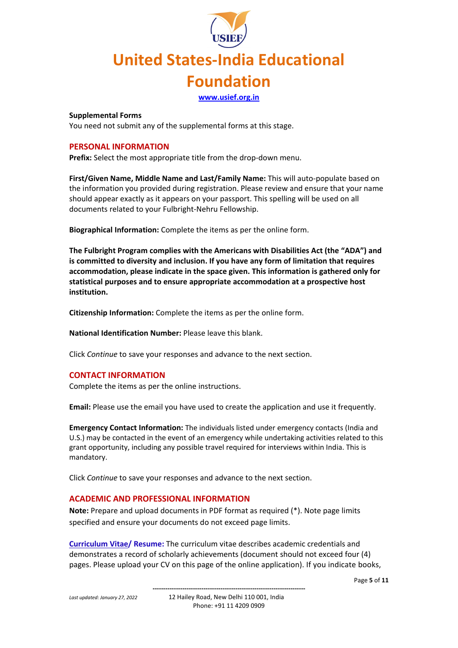**[www.usief.org.in](http://www.usief.org.in/)**

#### **Supplemental Forms**

You need not submit any of the supplemental forms at this stage.

#### **PERSONAL INFORMATION**

**Prefix:** Select the most appropriate title from the drop-down menu.

**First/Given Name, Middle Name and Last/Family Name:** This will auto-populate based on the information you provided during registration. Please review and ensure that your name should appear exactly as it appears on your passport. This spelling will be used on all documents related to your Fulbright-Nehru Fellowship.

**Biographical Information:** Complete the items as per the online form.

**The Fulbright Program complies with the Americans with Disabilities Act (the "ADA") and is committed to diversity and inclusion. If you have any form of limitation that requires accommodation, please indicate in the space given. This information is gathered only for statistical purposes and to ensure appropriate accommodation at a prospective host institution.**

**Citizenship Information:** Complete the items as per the online form.

**National Identification Number:** Please leave this blank.

Click *Continue* to save your responses and advance to the next section.

#### **CONTACT INFORMATION**

Complete the items as per the online instructions.

**Email:** Please use the email you have used to create the application and use it frequently.

**Emergency Contact Information:** The individuals listed under emergency contacts (India and U.S.) may be contacted in the event of an emergency while undertaking activities related to this grant opportunity, including any possible travel required for interviews within India. This is mandatory.

Click *Continue* to save your responses and advance to the next section.

#### **ACADEMIC AND PROFESSIONAL INFORMATION**

**Note:** Prepare and upload documents in PDF format as required (\*). Note page limits specified and ensure your documents do not exceed page limits.

**Curriculum Vitae/ Resume:** The curriculum vitae describes academic credentials and demonstrates a record of scholarly achievements (document should not exceed four (4) pages. Please upload your CV on this page of the online application). If you indicate books,

Page **5** of **11**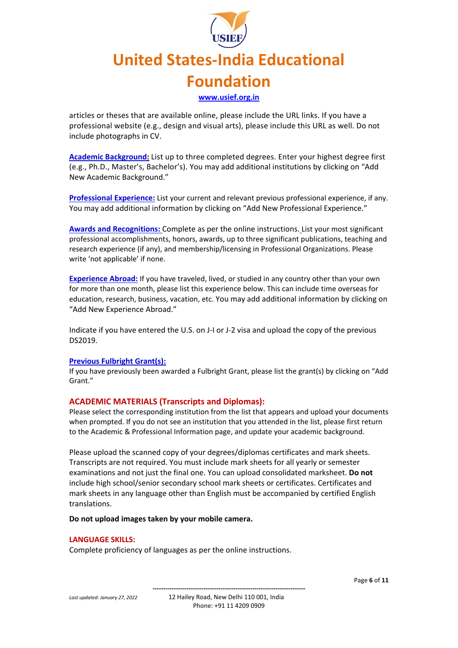## **United States-India Educational Foundation [www.usief.org.in](http://www.usief.org.in/)**

articles or theses that are available online, please include the URL links. If you have a professional website (e.g., design and visual arts), please include this URL as well. Do not include photographs in CV.

**Academic Background:** List up to three completed degrees. Enter your highest degree first (e.g., Ph.D., Master's, Bachelor's). You may add additional institutions by clicking on "Add New Academic Background."

**Professional Experience:** List your current and relevant previous professional experience, if any. You may add additional information by clicking on "Add New Professional Experience."

**Awards and Recognitions:** Complete as per the online instructions. List your most significant professional accomplishments, honors, awards, up to three significant publications, teaching and research experience (if any), and membership/licensing in Professional Organizations. Please write 'not applicable' if none.

**Experience Abroad:** If you have traveled, lived, or studied in any country other than your own for more than one month, please list this experience below. This can include time overseas for education, research, business, vacation, etc. You may add additional information by clicking on "Add New Experience Abroad."

Indicate if you have entered the U.S. on J-I or J-2 visa and upload the copy of the previous DS2019.

#### **Previous Fulbright Grant(s):**

If you have previously been awarded a Fulbright Grant, please list the grant(s) by clicking on "Add Grant."

#### **ACADEMIC MATERIALS (Transcripts and Diplomas):**

Please select the corresponding institution from the list that appears and upload your documents when prompted. If you do not see an institution that you attended in the list, please first return to the Academic & Professional Information page, and update your academic background.

Please upload the scanned copy of your degrees/diplomas certificates and mark sheets. Transcripts are not required. You must include mark sheets for all yearly or semester examinations and not just the final one. You can upload consolidated marksheet. **Do not** include high school/senior secondary school mark sheets or certificates. Certificates and mark sheets in any language other than English must be accompanied by certified English translations.

**Do not upload images taken by your mobile camera.**

#### **LANGUAGE SKILLS:**

Complete proficiency of languages as per the online instructions.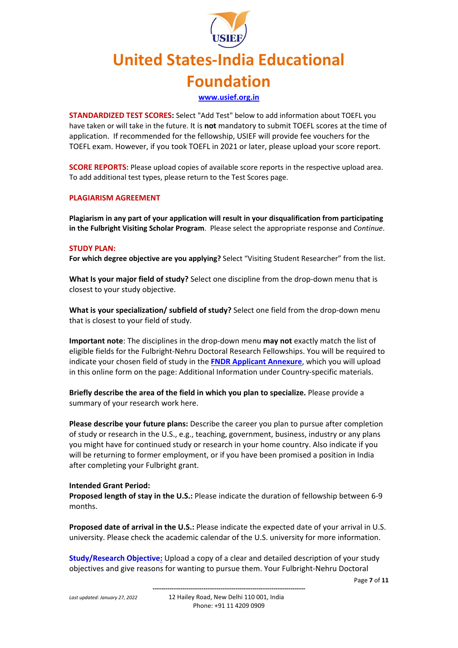**[www.usief.org.in](http://www.usief.org.in/)**

**STANDARDIZED TEST SCORES:** Select "Add Test" below to add information about TOEFL you have taken or will take in the future. It is **not** mandatory to submit TOEFL scores at the time of application. If recommended for the fellowship, USIEF will provide fee vouchers for the TOEFL exam. However, if you took TOEFL in 2021 or later, please upload your score report.

**SCORE REPORTS:** Please upload copies of available score reports in the respective upload area. To add additional test types, please return to the Test Scores page.

#### **PLAGIARISM AGREEMENT**

**Plagiarism in any part of your application will result in your disqualification from participating in the Fulbright Visiting Scholar Program**. Please select the appropriate response and *Continue*.

#### **STUDY PLAN:**

**For which degree objective are you applying?** Select "Visiting Student Researcher" from the list.

**What Is your major field of study?** Select one discipline from the drop-down menu that is closest to your study objective.

**What is your specialization/ subfield of study?** Select one field from the drop-down menu that is closest to your field of study.

**Important note**: The disciplines in the drop-down menu **may not** exactly match the list of eligible fields for the Fulbright-Nehru Doctoral Research Fellowships. You will be required to indicate your chosen field of study in the **[FNDR Applicant Annexure](https://usief.org.in/uploadip/ip2023-24/FNDR_annexure.pdf)**, which you will upload in this online form on the page: Additional Information under Country-specific materials.

**Briefly describe the area of the field in which you plan to specialize.** Please provide a summary of your research work here.

**Please describe your future plans:** Describe the career you plan to pursue after completion of study or research in the U.S., e.g., teaching, government, business, industry or any plans you might have for continued study or research in your home country. Also indicate if you will be returning to former employment, or if you have been promised a position in India after completing your Fulbright grant.

#### **Intended Grant Period:**

**Proposed length of stay in the U.S.:** Please indicate the duration of fellowship between 6-9 months.

**Proposed date of arrival in the U.S.:** Please indicate the expected date of your arrival in U.S. university. Please check the academic calendar of the U.S. university for more information.

**Study/Research Objective:** Upload a copy of a clear and detailed description of your study objectives and give reasons for wanting to pursue them. Your Fulbright-Nehru Doctoral

Page **7** of **11**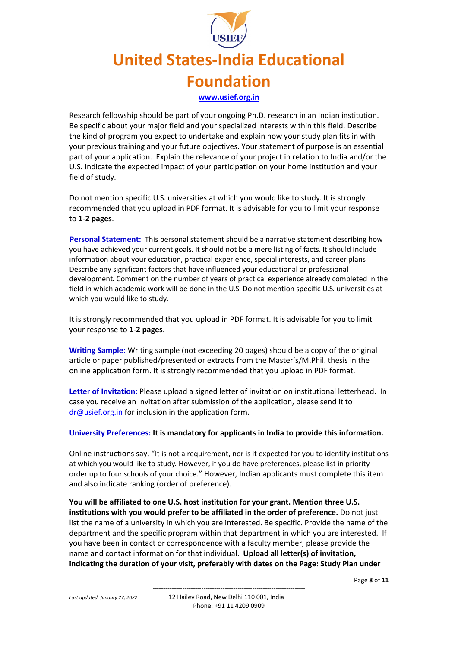## **United States-India Educational Foundation [www.usief.org.in](http://www.usief.org.in/)**

Research fellowship should be part of your ongoing Ph.D. research in an Indian institution. Be specific about your major field and your specialized interests within this field. Describe the kind of program you expect to undertake and explain how your study plan fits in with your previous training and your future objectives. Your statement of purpose is an essential part of your application. Explain the relevance of your project in relation to India and/or the U.S. Indicate the expected impact of your participation on your home institution and your field of study.

Do not mention specific U․S․ universities at which you would like to study․ It is strongly recommended that you upload in PDF format. It is advisable for you to limit your response to **1-2 pages**.

 **Personal Statement:** This personal statement should be a narrative statement describing how you have achieved your current goals․ It should not be a mere listing of facts․ It should include information about your education, practical experience, special interests, and career plans․ Describe any significant factors that have influenced your educational or professional development․ Comment on the number of years of practical experience already completed in the field in which academic work will be done in the U.S. Do not mention specific U.S. universities at which you would like to study․

It is strongly recommended that you upload in PDF format. It is advisable for you to limit your response to **1-2 pages**.

**Writing Sample:** Writing sample (not exceeding 20 pages) should be a copy of the original article or paper published/presented or extracts from the Master's/M.Phil. thesis in the online application form. It is strongly recommended that you upload in PDF format.

**Letter of Invitation:** Please upload a signed letter of invitation on institutional letterhead. In case you receive an invitation after submission of the application, please send it to [dr@usief.org.in](mailto:dr@usief.org.in) for inclusion in the application form.

**University Preferences: It is mandatory for applicants in India to provide this information.**

Online instructions say, "It is not a requirement, nor is it expected for you to identify institutions at which you would like to study․ However, if you do have preferences, please list in priority order up to four schools of your choice." However, Indian applicants must complete this item and also indicate ranking (order of preference).

**You will be affiliated to one U.S. host institution for your grant. Mention three U.S. institutions with you would prefer to be affiliated in the order of preference.** Do not just list the name of a university in which you are interested. Be specific. Provide the name of the department and the specific program within that department in which you are interested. If you have been in contact or correspondence with a faculty member, please provide the name and contact information for that individual. **Upload all letter(s) of invitation, indicating the duration of your visit, preferably with dates on the Page: Study Plan under** 

Page **8** of **11**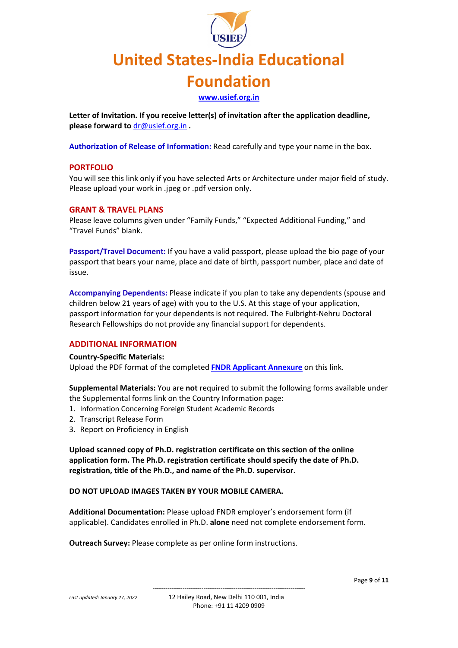**[www.usief.org.in](http://www.usief.org.in/)**

**Letter of Invitation. If you receive letter(s) of invitation after the application deadline, please forward to** [dr@usief.org.in](mailto:dr@usief.org.in) **.**

**Authorization of Release of Information:** Read carefully and type your name in the box.

#### **PORTFOLIO**

You will see this link only if you have selected Arts or Architecture under major field of study. Please upload your work in .jpeg or .pdf version only.

#### **GRANT & TRAVEL PLANS**

Please leave columns given under "Family Funds," "Expected Additional Funding," and "Travel Funds" blank.

**Passport/Travel Document:** If you have a valid passport, please upload the bio page of your passport that bears your name, place and date of birth, passport number, place and date of issue.

**Accompanying Dependents:** Please indicate if you plan to take any dependents (spouse and children below 21 years of age) with you to the U.S. At this stage of your application, passport information for your dependents is not required. The Fulbright-Nehru Doctoral Research Fellowships do not provide any financial support for dependents.

#### **ADDITIONAL INFORMATION**

#### **Country-Specific Materials:**

Upload the PDF format of the completed **[FNDR Applicant Annexure](https://usief.org.in/uploadip/ip2023-24/FNDR_annexure.pdf)** on this link.

**Supplemental Materials:** You are **not** required to submit the following forms available under the Supplemental forms link on the Country Information page:

- 1. Information Concerning Foreign Student Academic Records
- 2. Transcript Release Form
- 3. Report on Proficiency in English

**Upload scanned copy of Ph.D. registration certificate on this section of the online application form. The Ph.D. registration certificate should specify the date of Ph.D. registration, title of the Ph.D., and name of the Ph.D. supervisor.**

#### **DO NOT UPLOAD IMAGES TAKEN BY YOUR MOBILE CAMERA.**

**Additional Documentation:** Please upload FNDR employer's endorsement form (if applicable). Candidates enrolled in Ph.D. **alone** need not complete endorsement form.

**Outreach Survey:** Please complete as per online form instructions.

Page **9** of **11**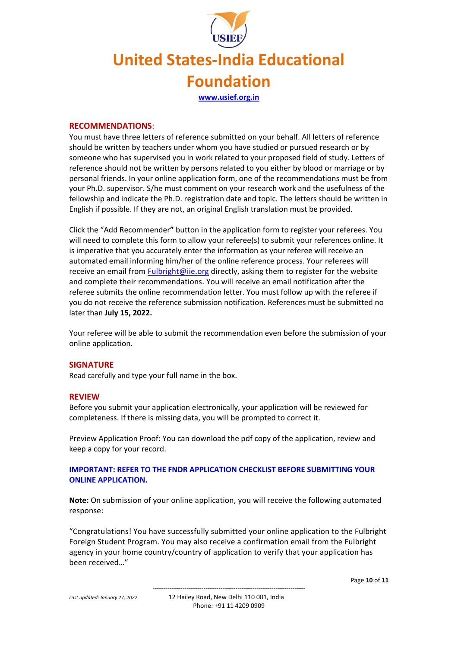### **United States-India Educational Foundation [www.usief.org.in](http://www.usief.org.in/)**

#### **RECOMMENDATIONS**:

You must have three letters of reference submitted on your behalf. All letters of reference should be written by teachers under whom you have studied or pursued research or by someone who has supervised you in work related to your proposed field of study. Letters of reference should not be written by persons related to you either by blood or marriage or by personal friends. In your online application form, one of the recommendations must be from your Ph.D. supervisor. S/he must comment on your research work and the usefulness of the fellowship and indicate the Ph.D. registration date and topic. The letters should be written in English if possible. If they are not, an original English translation must be provided.

Click the "Add Recommender**"** button in the application form to register your referees. You will need to complete this form to allow your referee(s) to submit your references online. It is imperative that you accurately enter the information as your referee will receive an automated email informing him/her of the online reference process. Your referees will receive an email from [Fulbright@iie.org](mailto:Fulbright@iie.org) directly, asking them to register for the website and complete their recommendations. You will receive an email notification after the referee submits the online recommendation letter. You must follow up with the referee if you do not receive the reference submission notification. References must be submitted no later than **July 15, 2022.**

Your referee will be able to submit the recommendation even before the submission of your online application.

#### **SIGNATURE**

Read carefully and type your full name in the box.

#### **REVIEW**

Before you submit your application electronically, your application will be reviewed for completeness. If there is missing data, you will be prompted to correct it.

Preview Application Proof: You can download the pdf copy of the application, review and keep a copy for your record.

#### **IMPORTANT: REFER TO THE FNDR APPLICATION CHECKLIST BEFORE SUBMITTING YOUR ONLINE APPLICATION.**

**Note:** On submission of your online application, you will receive the following automated response:

"Congratulations! You have successfully submitted your online application to the Fulbright Foreign Student Program. You may also receive a confirmation email from the Fulbright agency in your home country/country of application to verify that your application has been received…"